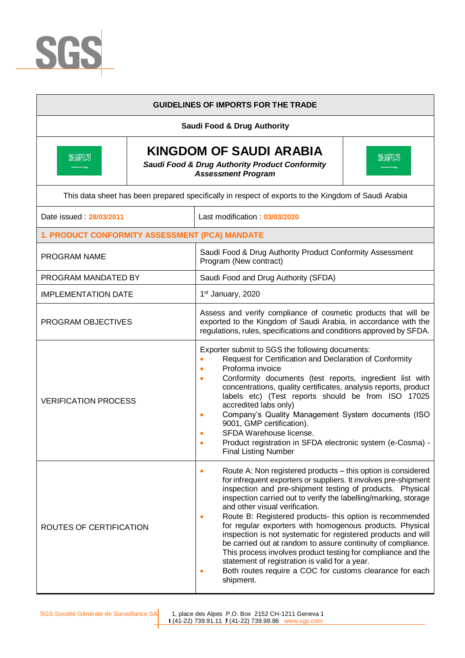

|                                                | <b>GUIDELINES OF IMPORTS FOR THE TRADE</b>                                                                                                                                                                                                                                                                                                                                                                                                                                                                                                                                                                                                                                                                                                                              |
|------------------------------------------------|-------------------------------------------------------------------------------------------------------------------------------------------------------------------------------------------------------------------------------------------------------------------------------------------------------------------------------------------------------------------------------------------------------------------------------------------------------------------------------------------------------------------------------------------------------------------------------------------------------------------------------------------------------------------------------------------------------------------------------------------------------------------------|
|                                                | <b>Saudi Food &amp; Drug Authority</b>                                                                                                                                                                                                                                                                                                                                                                                                                                                                                                                                                                                                                                                                                                                                  |
| <b>BILENN</b>                                  | <b>KINGDOM OF SAUDI ARABIA</b><br><b>BIANN</b><br><b>Saudi Food &amp; Drug Authority Product Conformity</b><br><b>Assessment Program</b>                                                                                                                                                                                                                                                                                                                                                                                                                                                                                                                                                                                                                                |
|                                                | This data sheet has been prepared specifically in respect of exports to the Kingdom of Saudi Arabia                                                                                                                                                                                                                                                                                                                                                                                                                                                                                                                                                                                                                                                                     |
| Date issued: 28/03/2011                        | Last modification: 03/03/2020                                                                                                                                                                                                                                                                                                                                                                                                                                                                                                                                                                                                                                                                                                                                           |
| 1. PRODUCT CONFORMITY ASSESSMENT (PCA) MANDATE |                                                                                                                                                                                                                                                                                                                                                                                                                                                                                                                                                                                                                                                                                                                                                                         |
| PROGRAM NAME                                   | Saudi Food & Drug Authority Product Conformity Assessment<br>Program (New contract)                                                                                                                                                                                                                                                                                                                                                                                                                                                                                                                                                                                                                                                                                     |
| PROGRAM MANDATED BY                            | Saudi Food and Drug Authority (SFDA)                                                                                                                                                                                                                                                                                                                                                                                                                                                                                                                                                                                                                                                                                                                                    |
| <b>IMPLEMENTATION DATE</b>                     | 1st January, 2020                                                                                                                                                                                                                                                                                                                                                                                                                                                                                                                                                                                                                                                                                                                                                       |
| PROGRAM OBJECTIVES                             | Assess and verify compliance of cosmetic products that will be<br>exported to the Kingdom of Saudi Arabia, in accordance with the<br>regulations, rules, specifications and conditions approved by SFDA.                                                                                                                                                                                                                                                                                                                                                                                                                                                                                                                                                                |
| <b>VERIFICATION PROCESS</b>                    | Exporter submit to SGS the following documents:<br>Request for Certification and Declaration of Conformity<br>Proforma invoice<br>Conformity documents (test reports, ingredient list with<br>۰<br>concentrations, quality certificates, analysis reports, product<br>labels etc) (Test reports should be from ISO 17025<br>accredited labs only)<br>Company's Quality Management System documents (ISO<br>۰<br>9001, GMP certification).<br>SFDA Warehouse license.<br>Product registration in SFDA electronic system (e-Cosma) -<br><b>Final Listing Number</b>                                                                                                                                                                                                       |
| ROUTES OF CERTIFICATION                        | Route A: Non registered products - this option is considered<br>۰<br>for infrequent exporters or suppliers. It involves pre-shipment<br>inspection and pre-shipment testing of products. Physical<br>inspection carried out to verify the labelling/marking, storage<br>and other visual verification.<br>Route B: Registered products- this option is recommended<br>$\bullet$<br>for regular exporters with homogenous products. Physical<br>inspection is not systematic for registered products and will<br>be carried out at random to assure continuity of compliance.<br>This process involves product testing for compliance and the<br>statement of registration is valid for a year.<br>Both routes require a COC for customs clearance for each<br>shipment. |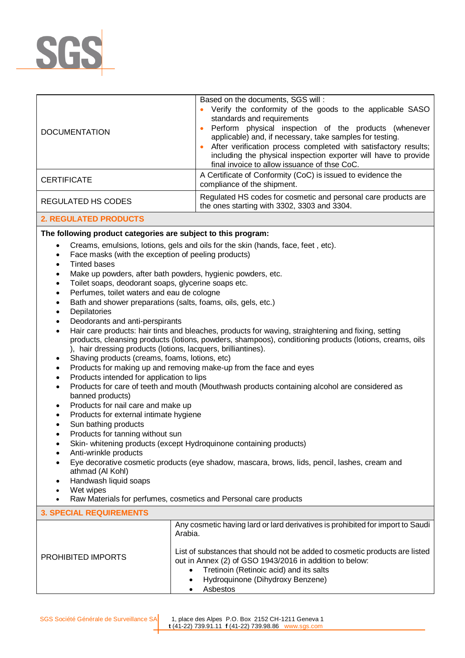

| <b>DOCUMENTATION</b>      | Based on the documents, SGS will:<br>Verify the conformity of the goods to the applicable SASO<br>standards and requirements<br>Perform physical inspection of the products (whenever<br>applicable) and, if necessary, take samples for testing.<br>After verification process completed with satisfactory results;<br>including the physical inspection exporter will have to provide<br>final invoice to allow issuance of thse CoC. |
|---------------------------|-----------------------------------------------------------------------------------------------------------------------------------------------------------------------------------------------------------------------------------------------------------------------------------------------------------------------------------------------------------------------------------------------------------------------------------------|
| <b>CERTIFICATE</b>        | A Certificate of Conformity (CoC) is issued to evidence the<br>compliance of the shipment.                                                                                                                                                                                                                                                                                                                                              |
| <b>REGULATED HS CODES</b> | Regulated HS codes for cosmetic and personal care products are<br>the ones starting with 3302, 3303 and 3304.                                                                                                                                                                                                                                                                                                                           |

## **2. REGULATED PRODUCTS**

## **The following product categories are subject to this program:**

- Creams, emulsions, lotions, gels and oils for the skin (hands, face, feet , etc).
- Face masks (with the exception of peeling products)
- Tinted bases
- Make up powders, after bath powders, hygienic powders, etc.
- Toilet soaps, deodorant soaps, glycerine soaps etc.
- Perfumes, toilet waters and eau de cologne
- Bath and shower preparations (salts, foams, oils, gels, etc.)
- **Depilatories**
- Deodorants and anti-perspirants
- Hair care products: hair tints and bleaches, products for waving, straightening and fixing, setting products, cleansing products (lotions, powders, shampoos), conditioning products (lotions, creams, oils ), hair dressing products (lotions, lacquers, brilliantines).
- Shaving products (creams, foams, lotions, etc)
- Products for making up and removing make-up from the face and eyes
- Products intended for application to lips
- Products for care of teeth and mouth (Mouthwash products containing alcohol are considered as banned products)
- Products for nail care and make up
- Products for external intimate hygiene
- Sun bathing products
- Products for tanning without sun
- Skin- whitening products (except Hydroquinone containing products)
- Anti-wrinkle products
- Eye decorative cosmetic products (eye shadow, mascara, brows, lids, pencil, lashes, cream and athmad (Al Kohl)
- Handwash liquid soaps
- Wet wipes
- Raw Materials for perfumes, cosmetics and Personal care products

## **3. SPECIAL REQUIREMENTS**

|                    | Any cosmetic having lard or lard derivatives is prohibited for import to Saudi<br>Arabia.                                                                                                                                         |
|--------------------|-----------------------------------------------------------------------------------------------------------------------------------------------------------------------------------------------------------------------------------|
| PROHIBITED IMPORTS | List of substances that should not be added to cosmetic products are listed<br>out in Annex (2) of GSO 1943/2016 in addition to below:<br>Tretinoin (Retinoic acid) and its salts<br>Hydroquinone (Dihydroxy Benzene)<br>Asbestos |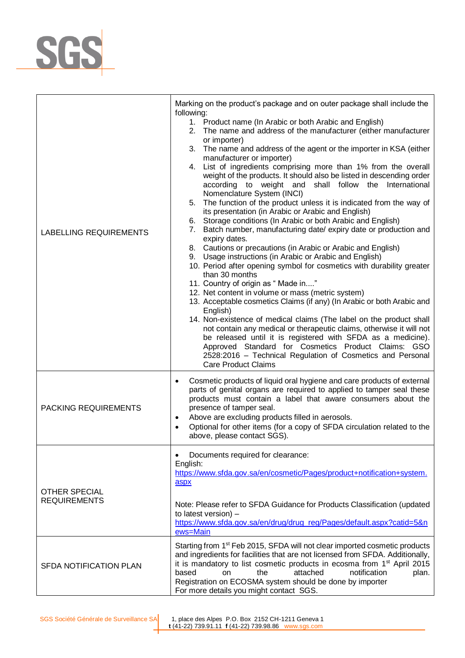

| LABELLING REQUIREMENTS                      | Marking on the product's package and on outer package shall include the<br>following:<br>1. Product name (In Arabic or both Arabic and English)<br>2. The name and address of the manufacturer (either manufacturer<br>or importer)<br>3. The name and address of the agent or the importer in KSA (either<br>manufacturer or importer)<br>4. List of ingredients comprising more than 1% from the overall<br>weight of the products. It should also be listed in descending order<br>according to weight and shall follow the International<br>Nomenclature System (INCI)<br>5. The function of the product unless it is indicated from the way of<br>its presentation (in Arabic or Arabic and English)<br>6. Storage conditions (In Arabic or both Arabic and English)<br>7. Batch number, manufacturing date/ expiry date or production and<br>expiry dates.<br>8. Cautions or precautions (in Arabic or Arabic and English)<br>9. Usage instructions (in Arabic or Arabic and English)<br>10. Period after opening symbol for cosmetics with durability greater<br>than 30 months<br>11. Country of origin as " Made in"<br>12. Net content in volume or mass (metric system)<br>13. Acceptable cosmetics Claims (if any) (In Arabic or both Arabic and<br>English)<br>14. Non-existence of medical claims (The label on the product shall<br>not contain any medical or therapeutic claims, otherwise it will not<br>be released until it is registered with SFDA as a medicine).<br>Approved Standard for Cosmetics Product Claims: GSO<br>2528:2016 - Technical Regulation of Cosmetics and Personal<br><b>Care Product Claims</b> |
|---------------------------------------------|--------------------------------------------------------------------------------------------------------------------------------------------------------------------------------------------------------------------------------------------------------------------------------------------------------------------------------------------------------------------------------------------------------------------------------------------------------------------------------------------------------------------------------------------------------------------------------------------------------------------------------------------------------------------------------------------------------------------------------------------------------------------------------------------------------------------------------------------------------------------------------------------------------------------------------------------------------------------------------------------------------------------------------------------------------------------------------------------------------------------------------------------------------------------------------------------------------------------------------------------------------------------------------------------------------------------------------------------------------------------------------------------------------------------------------------------------------------------------------------------------------------------------------------------------------------------------------------------------------------------------------------------|
| PACKING REQUIREMENTS                        | Cosmetic products of liquid oral hygiene and care products of external<br>$\bullet$<br>parts of genital organs are required to applied to tamper seal these<br>products must contain a label that aware consumers about the<br>presence of tamper seal.<br>Above are excluding products filled in aerosols.<br>٠<br>Optional for other items (for a copy of SFDA circulation related to the<br>$\bullet$<br>above, please contact SGS).                                                                                                                                                                                                                                                                                                                                                                                                                                                                                                                                                                                                                                                                                                                                                                                                                                                                                                                                                                                                                                                                                                                                                                                                    |
| <b>OTHER SPECIAL</b><br><b>REQUIREMENTS</b> | Documents required for clearance:<br>English:<br>https://www.sfda.gov.sa/en/cosmetic/Pages/product+notification+system.<br>aspx<br>Note: Please refer to SFDA Guidance for Products Classification (updated<br>to latest version) -<br>https://www.sfda.gov.sa/en/drug/drug_reg/Pages/default.aspx?catid=5&n<br>ews=Main                                                                                                                                                                                                                                                                                                                                                                                                                                                                                                                                                                                                                                                                                                                                                                                                                                                                                                                                                                                                                                                                                                                                                                                                                                                                                                                   |
| SFDA NOTIFICATION PLAN                      | Starting from 1 <sup>st</sup> Feb 2015, SFDA will not clear imported cosmetic products<br>and ingredients for facilities that are not licensed from SFDA. Additionally,<br>it is mandatory to list cosmetic products in ecosma from 1 <sup>st</sup> April 2015<br>based<br>the<br>attached<br>notification<br>on<br>plan.<br>Registration on ECOSMA system should be done by importer<br>For more details you might contact SGS.                                                                                                                                                                                                                                                                                                                                                                                                                                                                                                                                                                                                                                                                                                                                                                                                                                                                                                                                                                                                                                                                                                                                                                                                           |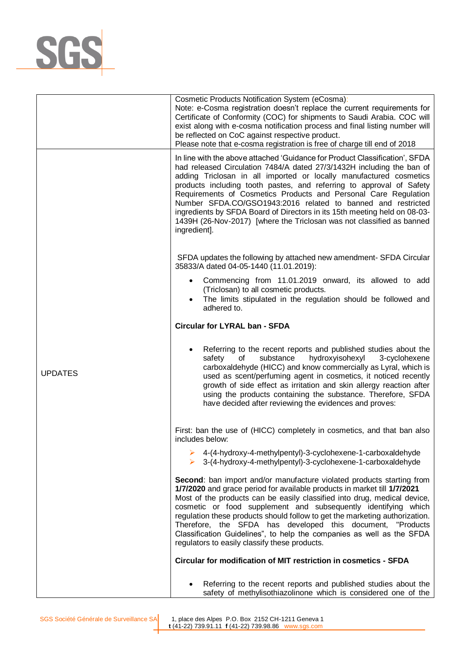

|                | Cosmetic Products Notification System (eCosma):<br>Note: e-Cosma registration doesn't replace the current requirements for<br>Certificate of Conformity (COC) for shipments to Saudi Arabia. COC will<br>exist along with e-cosma notification process and final listing number will<br>be reflected on CoC against respective product.<br>Please note that e-cosma registration is free of charge till end of 2018                                                                                                                                                                                         |
|----------------|-------------------------------------------------------------------------------------------------------------------------------------------------------------------------------------------------------------------------------------------------------------------------------------------------------------------------------------------------------------------------------------------------------------------------------------------------------------------------------------------------------------------------------------------------------------------------------------------------------------|
|                | In line with the above attached 'Guidance for Product Classification', SFDA<br>had released Circulation 7484/A dated 27/3/1432H including the ban of<br>adding Triclosan in all imported or locally manufactured cosmetics<br>products including tooth pastes, and referring to approval of Safety<br>Requirements of Cosmetics Products and Personal Care Regulation<br>Number SFDA.CO/GSO1943:2016 related to banned and restricted<br>ingredients by SFDA Board of Directors in its 15th meeting held on 08-03-<br>1439H (26-Nov-2017) [where the Triclosan was not classified as banned<br>ingredient]. |
|                | SFDA updates the following by attached new amendment- SFDA Circular<br>35833/A dated 04-05-1440 (11.01.2019):                                                                                                                                                                                                                                                                                                                                                                                                                                                                                               |
|                | Commencing from 11.01.2019 onward, its allowed to add<br>(Triclosan) to all cosmetic products.<br>• The limits stipulated in the regulation should be followed and<br>adhered to.                                                                                                                                                                                                                                                                                                                                                                                                                           |
|                | <b>Circular for LYRAL ban - SFDA</b>                                                                                                                                                                                                                                                                                                                                                                                                                                                                                                                                                                        |
| <b>UPDATES</b> | Referring to the recent reports and published studies about the<br>safety<br>of<br>substance<br>hydroxyisohexyl<br>3-cyclohexene<br>carboxaldehyde (HICC) and know commercially as Lyral, which is<br>used as scent/perfuming agent in cosmetics, it noticed recently<br>growth of side effect as irritation and skin allergy reaction after<br>using the products containing the substance. Therefore, SFDA<br>have decided after reviewing the evidences and proves:                                                                                                                                      |
|                | First: ban the use of (HICC) completely in cosmetics, and that ban also<br>includes below:                                                                                                                                                                                                                                                                                                                                                                                                                                                                                                                  |
|                | $\triangleright$ 4-(4-hydroxy-4-methylpentyl)-3-cyclohexene-1-carboxaldehyde<br>$\triangleright$ 3-(4-hydroxy-4-methylpentyl)-3-cyclohexene-1-carboxaldehyde                                                                                                                                                                                                                                                                                                                                                                                                                                                |
|                | Second: ban import and/or manufacture violated products starting from<br>1/7/2020 and grace period for available products in market till 1/7/2021<br>Most of the products can be easily classified into drug, medical device,<br>cosmetic or food supplement and subsequently identifying which<br>regulation these products should follow to get the marketing authorization.<br>Therefore, the SFDA has developed this document, "Products<br>Classification Guidelines", to help the companies as well as the SFDA<br>regulators to easily classify these products.                                      |
|                | Circular for modification of MIT restriction in cosmetics - SFDA                                                                                                                                                                                                                                                                                                                                                                                                                                                                                                                                            |
|                | Referring to the recent reports and published studies about the<br>safety of methylisothiazolinone which is considered one of the                                                                                                                                                                                                                                                                                                                                                                                                                                                                           |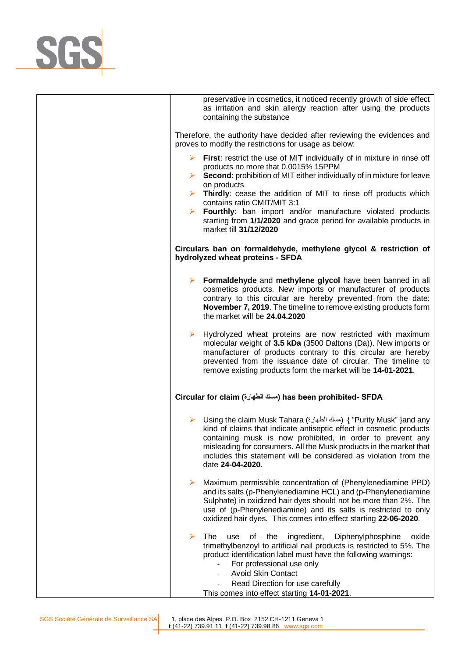

| preservative in cosmetics, it noticed recently growth of side effect<br>as irritation and skin allergy reaction after using the products<br>containing the substance                                                                                                                                                                                                    |
|-------------------------------------------------------------------------------------------------------------------------------------------------------------------------------------------------------------------------------------------------------------------------------------------------------------------------------------------------------------------------|
| Therefore, the authority have decided after reviewing the evidences and<br>proves to modify the restrictions for usage as below:                                                                                                                                                                                                                                        |
| $\triangleright$ First: restrict the use of MIT individually of in mixture in rinse off<br>products no more that 0.0015% 15PPM<br>$\triangleright$ Second: prohibition of MIT either individually of in mixture for leave<br>on products<br>Thirdly: cease the addition of MIT to rinse off products which<br>$\blacktriangleright$<br>contains ratio CMIT/MIT 3:1      |
| Fourthly: ban import and/or manufacture violated products<br>starting from 1/1/2020 and grace period for available products in<br>market till 31/12/2020                                                                                                                                                                                                                |
| Circulars ban on formaldehyde, methylene glycol & restriction of<br>hydrolyzed wheat proteins - SFDA                                                                                                                                                                                                                                                                    |
| > Formaldehyde and methylene glycol have been banned in all<br>cosmetics products. New imports or manufacturer of products<br>contrary to this circular are hereby prevented from the date:<br>November 7, 2019. The timeline to remove existing products form<br>the market will be 24.04.2020                                                                         |
| Hydrolyzed wheat proteins are now restricted with maximum<br>➤<br>molecular weight of 3.5 kDa (3500 Daltons (Da)). New imports or<br>manufacturer of products contrary to this circular are hereby<br>prevented from the issuance date of circular. The timeline to<br>remove existing products form the market will be 14-01-2021.                                     |
| Circular for claim (مسك الطهارة) has been prohibited- SFDA                                                                                                                                                                                                                                                                                                              |
| ► Using the claim Musk Tahara (مسك الطهارة) { "Purity Musk" }and any<br>kind of claims that indicate antiseptic effect in cosmetic products<br>containing musk is now prohibited, in order to prevent any<br>misleading for consumers. All the Musk products in the market that<br>includes this statement will be considered as violation from the<br>date 24-04-2020. |
| Maximum permissible concentration of (Phenylenediamine PPD)<br>➤<br>and its salts (p-Phenylenediamine HCL) and (p-Phenylenediamine<br>Sulphate) in oxidized hair dyes should not be more than 2%. The<br>use of (p-Phenylenediamine) and its salts is restricted to only<br>oxidized hair dyes. This comes into effect starting 22-06-2020.                             |
| The<br>ingredient,<br>Diphenylphosphine<br>➤<br>0f<br>the<br>use<br>oxide<br>trimethylbenzoyl to artificial nail products is restricted to 5%. The<br>product identification label must have the following warnings:<br>For professional use only<br>$\overline{\phantom{0}}$<br><b>Avoid Skin Contact</b>                                                              |
| Read Direction for use carefully<br>This comes into effect starting 14-01-2021.                                                                                                                                                                                                                                                                                         |